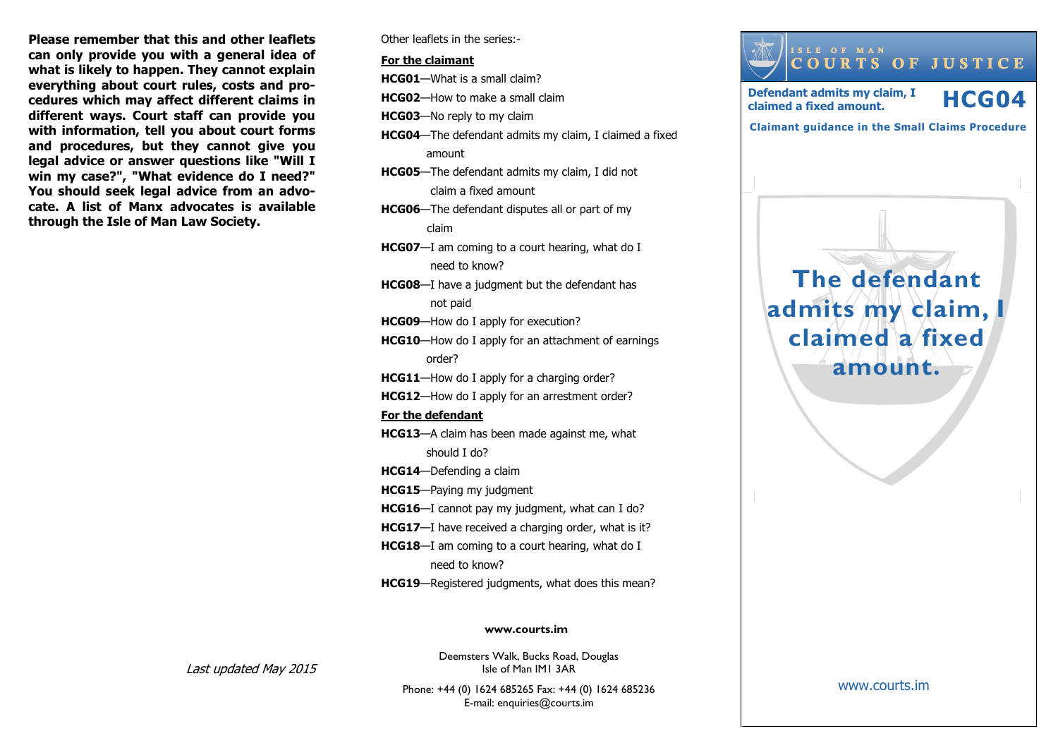**Please remember that this and other leaflets can only provide you with a general idea of what is likely to happen. They cannot explain everything about court rules, costs and procedures which may affect different claims in different ways. Court staff can provide you with information, tell you about court forms and procedures, but they cannot give you legal advice or answer questions like "Will I win my case?", "What evidence do I need?" You should seek legal advice from an advocate. A list of Manx advocates is available through the Isle of Man Law Society.**

Other leaflets in the series:-

#### **For the claimant**

**HCG01**—What is a small claim?

**HCG02**—How to make a small claim

**HCG03**—No reply to my claim

- **HCG04**—The defendant admits my claim, I claimed a fixed amount
- **HCG05**—The defendant admits my claim, I did not claim a fixed amount
- **HCG06**—The defendant disputes all or part of my claim
- **HCG07**—I am coming to a court hearing, what do I need to know?
- **HCG08**—I have a judgment but the defendant has not paid

**HCG09**—How do I apply for execution?

**HCG10**—How do I apply for an attachment of earnings order?

**HCG11**—How do I apply for a charging order?

**HCG12**—How do I apply for an arrestment order?

#### **For the defendant**

**HCG13**—A claim has been made against me, what should I do?

**HCG14**—Defending a claim

- **HCG15**—Paying my judgment
- **HCG16**—I cannot pay my judgment, what can I do?
- **HCG17**—I have received a charging order, what is it?
- **HCG18**—I am coming to a court hearing, what do I need to know?
- **HCG19**—Registered judgments, what does this mean?

#### **www.courts.im**

Last updated May 2015

Deemsters Walk, Bucks Road, Douglas Isle of Man IM1 3AR

Phone: +44 (0) 1624 685265 Fax: +44 (0) 1624 685236 E-mail: enquiries@courts.im



#### www.courts.im